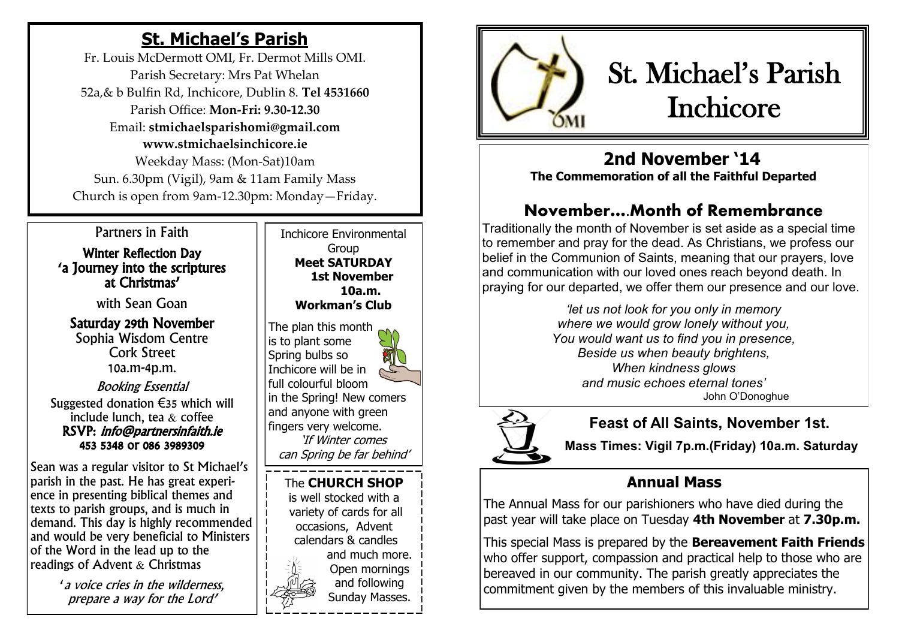# **St. Michael's Parish**

Fr. Louis McDermott OMI, Fr. Dermot Mills OMI. Parish Secretary: Mrs Pat Whelan 52a,& b Bulfin Rd, Inchicore, Dublin 8. **Tel 4531660** Parish Office: **Mon-Fri: 9.30-12.30** Email: **stmichaelsparishomi@gmail.com www.stmichaelsinchicore.ie** Weekday Mass: (Mon-Sat)10am Sun. 6.30pm (Vigil), 9am & 11am Family Mass Church is open from 9am-12.30pm: Monday—Friday.

Partners in Faith

Winter Reflection Day 'a Journey into the scriptures at Christmas'

with Sean Goan

Saturday 29th November Sophia Wisdom Centre Cork Street 10a.m-4p.m. Booking Essential Suggested donation €35 which will include lunch, tea & coffee RSVP: info@partnersinfaith.ie 453 5348 or 086 3989309

Sean was a regular visitor to St Michael's parish in the past. He has great experience in presenting biblical themes and texts to parish groups, and is much in demand. This day is highly recommended and would be very beneficial to Ministers of the Word in the lead up to the readings of Advent & Christmas

> 'a voice cries in the wilderness, prepare a way for the Lord'

Inchicore Environmental Group **Meet SATURDAY 1st November 10a.m. Workman's Club**

The plan this month is to plant some Spring bulbs so Inchicore will be in full colourful bloom in the Spring! New comers and anyone with green fingers very welcome. 'If Winter comes can Spring be far behind'

The **CHURCH SHOP**  is well stocked with a variety of cards for all occasions, Advent calendars & candles and much more. Open mornings and following

Sunday Masses.



# St. Michael's Parish Inchicore

 **2nd November '14 The Commemoration of all the Faithful Departed**

## **November….Month of Remembrance**

Traditionally the month of November is set aside as a special time to remember and pray for the dead. As Christians, we profess our belief in the Communion of Saints, meaning that our prayers, love and communication with our loved ones reach beyond death. In praying for our departed, we offer them our presence and our love.

> *'let us not look for you only in memory where we would grow lonely without you, You would want us to find you in presence, Beside us when beauty brightens, When kindness glows and music echoes eternal tones'* John O'Donoghue



## **Feast of All Saints, November 1st.**

**Mass Times: Vigil 7p.m.(Friday) 10a.m. Saturday** 

## **Annual Mass**

The Annual Mass for our parishioners who have died during the past year will take place on Tuesday **4th November** at **7.30p.m.**

This special Mass is prepared by the **Bereavement Faith Friends**  who offer support, compassion and practical help to those who are bereaved in our community. The parish greatly appreciates the commitment given by the members of this invaluable ministry.